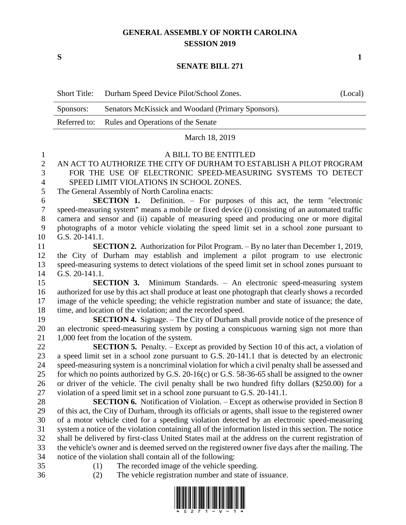## **GENERAL ASSEMBLY OF NORTH CAROLINA SESSION 2019**

**S 1**

## **SENATE BILL 271**

| <b>Short Title:</b> | Durham Speed Device Pilot/School Zones.            | (Local) |
|---------------------|----------------------------------------------------|---------|
| Sponsors:           | Senators McKissick and Woodard (Primary Sponsors). |         |
|                     | Referred to: Rules and Operations of the Senate    |         |
|                     | March 18, 2019                                     |         |
|                     | A BILL TO BE ENTITLED                              |         |

## AN ACT TO AUTHORIZE THE CITY OF DURHAM TO ESTABLISH A PILOT PROGRAM FOR THE USE OF ELECTRONIC SPEED-MEASURING SYSTEMS TO DETECT

 SPEED LIMIT VIOLATIONS IN SCHOOL ZONES. The General Assembly of North Carolina enacts:

 **SECTION 1.** Definition. – For purposes of this act, the term "electronic speed-measuring system" means a mobile or fixed device (i) consisting of an automated traffic camera and sensor and (ii) capable of measuring speed and producing one or more digital photographs of a motor vehicle violating the speed limit set in a school zone pursuant to G.S. 20-141.1.

 **SECTION 2.** Authorization for Pilot Program. – By no later than December 1, 2019, the City of Durham may establish and implement a pilot program to use electronic speed-measuring systems to detect violations of the speed limit set in school zones pursuant to G.S. 20-141.1.

 **SECTION 3.** Minimum Standards. – An electronic speed-measuring system authorized for use by this act shall produce at least one photograph that clearly shows a recorded image of the vehicle speeding; the vehicle registration number and state of issuance; the date, time, and location of the violation; and the recorded speed.

 **SECTION 4.** Signage. – The City of Durham shall provide notice of the presence of an electronic speed-measuring system by posting a conspicuous warning sign not more than 21 1,000 feet from the location of the system.

 **SECTION 5.** Penalty. – Except as provided by Section 10 of this act, a violation of a speed limit set in a school zone pursuant to G.S. 20-141.1 that is detected by an electronic speed-measuring system is a noncriminal violation for which a civil penalty shall be assessed and for which no points authorized by G.S. 20-16(c) or G.S. 58-36-65 shall be assigned to the owner or driver of the vehicle. The civil penalty shall be two hundred fifty dollars (\$250.00) for a violation of a speed limit set in a school zone pursuant to G.S. 20-141.1.

 **SECTION 6.** Notification of Violation. – Except as otherwise provided in Section 8 of this act, the City of Durham, through its officials or agents, shall issue to the registered owner of a motor vehicle cited for a speeding violation detected by an electronic speed-measuring system a notice of the violation containing all of the information listed in this section. The notice shall be delivered by first-class United States mail at the address on the current registration of the vehicle's owner and is deemed served on the registered owner five days after the mailing. The notice of the violation shall contain all of the following:

- 
- (1) The recorded image of the vehicle speeding.
- 
- (2) The vehicle registration number and state of issuance.

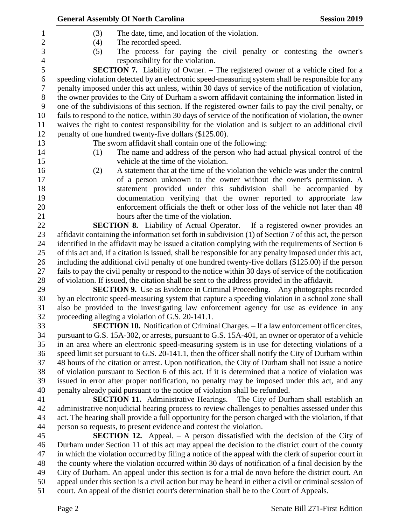|                | <b>General Assembly Of North Carolina</b><br><b>Session 2019</b>                                                                                                                                             |  |  |
|----------------|--------------------------------------------------------------------------------------------------------------------------------------------------------------------------------------------------------------|--|--|
| $\mathbf 1$    | The date, time, and location of the violation.<br>(3)                                                                                                                                                        |  |  |
| $\overline{2}$ | (4)<br>The recorded speed.                                                                                                                                                                                   |  |  |
| 3              | (5)<br>The process for paying the civil penalty or contesting the owner's                                                                                                                                    |  |  |
| $\overline{4}$ | responsibility for the violation.                                                                                                                                                                            |  |  |
| $\mathfrak s$  | SECTION 7. Liability of Owner. - The registered owner of a vehicle cited for a                                                                                                                               |  |  |
| 6              | speeding violation detected by an electronic speed-measuring system shall be responsible for any                                                                                                             |  |  |
| 7              | penalty imposed under this act unless, within 30 days of service of the notification of violation,                                                                                                           |  |  |
| 8              | the owner provides to the City of Durham a sworn affidavit containing the information listed in                                                                                                              |  |  |
| 9              | one of the subdivisions of this section. If the registered owner fails to pay the civil penalty, or                                                                                                          |  |  |
| 10             | fails to respond to the notice, within 30 days of service of the notification of violation, the owner                                                                                                        |  |  |
| 11             | waives the right to contest responsibility for the violation and is subject to an additional civil                                                                                                           |  |  |
| 12             | penalty of one hundred twenty-five dollars (\$125.00).                                                                                                                                                       |  |  |
| 13             | The sworn affidavit shall contain one of the following:                                                                                                                                                      |  |  |
| 14             | The name and address of the person who had actual physical control of the<br>(1)                                                                                                                             |  |  |
| 15             | vehicle at the time of the violation.                                                                                                                                                                        |  |  |
| 16             | A statement that at the time of the violation the vehicle was under the control<br>(2)                                                                                                                       |  |  |
| 17             | of a person unknown to the owner without the owner's permission. A                                                                                                                                           |  |  |
| 18             | statement provided under this subdivision shall be accompanied by                                                                                                                                            |  |  |
| 19             | documentation verifying that the owner reported to appropriate law                                                                                                                                           |  |  |
| 20             | enforcement officials the theft or other loss of the vehicle not later than 48                                                                                                                               |  |  |
| 21             | hours after the time of the violation.                                                                                                                                                                       |  |  |
| 22             | <b>SECTION 8.</b> Liability of Actual Operator. - If a registered owner provides an                                                                                                                          |  |  |
| 23             | affidavit containing the information set forth in subdivision (1) of Section 7 of this act, the person                                                                                                       |  |  |
| 24             | identified in the affidavit may be issued a citation complying with the requirements of Section 6                                                                                                            |  |  |
| 25<br>26       | of this act and, if a citation is issued, shall be responsible for any penalty imposed under this act,<br>including the additional civil penalty of one hundred twenty-five dollars (\$125.00) if the person |  |  |
| 27             | fails to pay the civil penalty or respond to the notice within 30 days of service of the notification                                                                                                        |  |  |
| 28             | of violation. If issued, the citation shall be sent to the address provided in the affidavit.                                                                                                                |  |  |
| 29             | <b>SECTION 9.</b> Use as Evidence in Criminal Proceeding. – Any photographs recorded                                                                                                                         |  |  |
| 30             | by an electronic speed-measuring system that capture a speeding violation in a school zone shall                                                                                                             |  |  |
| 31             | also be provided to the investigating law enforcement agency for use as evidence in any                                                                                                                      |  |  |
| 32             | proceeding alleging a violation of G.S. 20-141.1.                                                                                                                                                            |  |  |
| 33             | SECTION 10. Notification of Criminal Charges. - If a law enforcement officer cites,                                                                                                                          |  |  |
| 34             | pursuant to G.S. 15A-302, or arrests, pursuant to G.S. 15A-401, an owner or operator of a vehicle                                                                                                            |  |  |
| 35             | in an area where an electronic speed-measuring system is in use for detecting violations of a                                                                                                                |  |  |
| 36             | speed limit set pursuant to G.S. 20-141.1, then the officer shall notify the City of Durham within                                                                                                           |  |  |
| 37             | 48 hours of the citation or arrest. Upon notification, the City of Durham shall not issue a notice                                                                                                           |  |  |
| 38             | of violation pursuant to Section 6 of this act. If it is determined that a notice of violation was                                                                                                           |  |  |
| 39             | issued in error after proper notification, no penalty may be imposed under this act, and any                                                                                                                 |  |  |
| 40             | penalty already paid pursuant to the notice of violation shall be refunded.                                                                                                                                  |  |  |
| 41             | <b>SECTION 11.</b> Administrative Hearings. – The City of Durham shall establish an                                                                                                                          |  |  |
| 42             | administrative nonjudicial hearing process to review challenges to penalties assessed under this                                                                                                             |  |  |
| 43             | act. The hearing shall provide a full opportunity for the person charged with the violation, if that                                                                                                         |  |  |
| 44             | person so requests, to present evidence and contest the violation.                                                                                                                                           |  |  |
| 45             | <b>SECTION 12.</b> Appeal. $- A$ person dissatisfied with the decision of the City of                                                                                                                        |  |  |
| 46             | Durham under Section 11 of this act may appeal the decision to the district court of the county                                                                                                              |  |  |
| 47             | in which the violation occurred by filing a notice of the appeal with the clerk of superior court in                                                                                                         |  |  |
| 48             | the county where the violation occurred within 30 days of notification of a final decision by the                                                                                                            |  |  |
| 49             | City of Durham. An appeal under this section is for a trial de novo before the district court. An                                                                                                            |  |  |
| 50<br>51       | appeal under this section is a civil action but may be heard in either a civil or criminal session of<br>court. An appeal of the district court's determination shall be to the Court of Appeals.            |  |  |
|                |                                                                                                                                                                                                              |  |  |